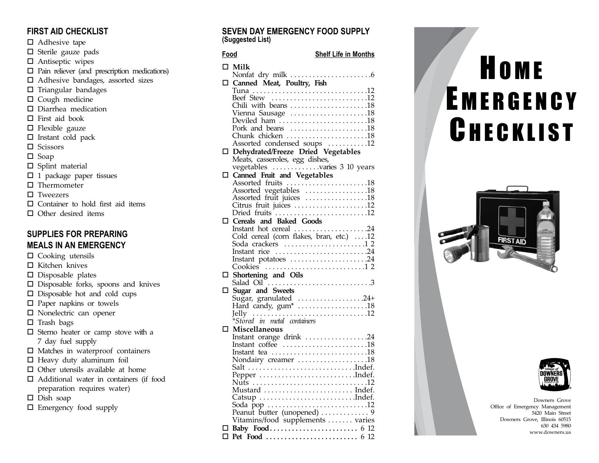# **FIRST AID CHECKLIST**

- $\Box$  Adhesive tape
- □ Sterile gauze pads
- □ Antiseptic wipes
- Pain reliever (and prescription medications)
- □ Adhesive bandages, assorted sizes
- $\Box$  Triangular bandages
- $\Box$  Cough medicine
- $\square$  Diarrhea medication
- □ First aid book
- $\Box$  Flexible gauze
- $\square$  Instant cold pack
- $\Box$ **Scissors**
- $\square$  Soap
- $\square$  Splint material
- □ 1 package paper tissues
- □ Thermometer
- □ Tweezers
- □ Container to hold first aid items
- $\square$  Other desired items

# **SUPPLIES FOR PREPARING MEALS IN AN EMERGENCY**

□ Cooking utensils  $\Box$  Kitchen knives □ Disposable plates □ Disposable forks, spoons and knives □ Disposable hot and cold cups □ Paper napkins or towels □ Nonelectric can opener  $\Box$  Trash bags □ Sterno heater or camp stove with a <sup>7</sup> day fuel supply □ Matches in waterproof containers - Heavy duty aluminum foil  $\Box$  Other utensils available at home □ Additional water in containers (if food preparation requires water)  $\square$  Dish soap □ Emergency food supply

### **SEVEN DAY EMERGENCY FOOD SUPPLY (Suggested List)**

## **Food Shelf Life in Months**

|   | $\square$ Milk                                                                                                                                  |
|---|-------------------------------------------------------------------------------------------------------------------------------------------------|
|   |                                                                                                                                                 |
| □ |                                                                                                                                                 |
|   |                                                                                                                                                 |
|   | Beef Stew 12                                                                                                                                    |
|   | Chili with beans 18                                                                                                                             |
|   | Vienna Sausage 18                                                                                                                               |
|   | Deviled ham 18                                                                                                                                  |
|   | Pork and beans 18                                                                                                                               |
|   | Chunk chicken 18                                                                                                                                |
|   |                                                                                                                                                 |
|   | Assorted condensed soups<br>The Dehydrated/Freeze Dried Vegetables<br>Meats, casseroles, egg dishes,<br>vegetables<br>and the varies 3 10 years |
|   |                                                                                                                                                 |
|   |                                                                                                                                                 |
|   | Canned Fruit and Vegetables                                                                                                                     |
|   | Assorted fruits 18                                                                                                                              |
|   | Assorted vegetables 18                                                                                                                          |
|   |                                                                                                                                                 |
|   | Assorted fruit juices 18<br>Citrus fruit juices                                                                                                 |
|   | Dried fruits 12                                                                                                                                 |
| □ | Cereals and Baked Goods                                                                                                                         |
|   | Instant hot cereal 24                                                                                                                           |
|   | Cold cereal (corn flakes, bran, etc.) 12                                                                                                        |
|   |                                                                                                                                                 |
|   | Instant rice 24                                                                                                                                 |
|   | Instant potatoes 24                                                                                                                             |
|   |                                                                                                                                                 |
| □ | Shortening and Oils                                                                                                                             |
|   |                                                                                                                                                 |
| □ | Sugar and Sweets                                                                                                                                |
|   |                                                                                                                                                 |
|   |                                                                                                                                                 |
|   |                                                                                                                                                 |
|   |                                                                                                                                                 |
| ◻ | Miscellaneous                                                                                                                                   |
|   | Instant orange drink 24                                                                                                                         |
|   | Instant coffee 18                                                                                                                               |
|   | Instant tea 18                                                                                                                                  |
|   | Nondairy creamer 18                                                                                                                             |
|   |                                                                                                                                                 |
|   |                                                                                                                                                 |
|   |                                                                                                                                                 |
|   | Mustard  Indef.                                                                                                                                 |
|   | Catsup Indef.                                                                                                                                   |
|   |                                                                                                                                                 |
|   | Soda pop 12<br>Peanut butter (unopened) 9                                                                                                       |
|   | Vitamins/food supplements  varies                                                                                                               |
|   |                                                                                                                                                 |
| □ |                                                                                                                                                 |
|   |                                                                                                                                                 |

# **HOME** EMERGENCY **CHECKLIST**





Downers Grove Office of Emergency Management 5420 Main Street Downers Grove, Illinois 60515 630 434 5980 www.downers.us